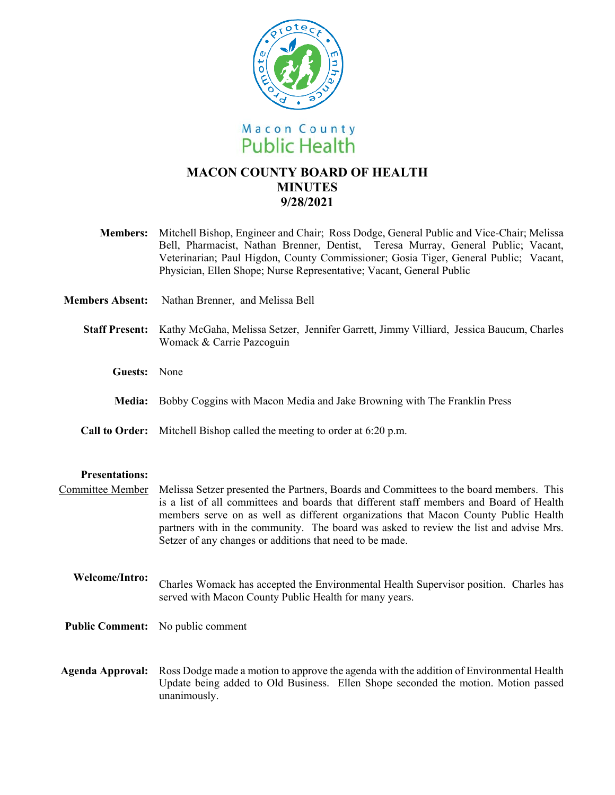

# **MACON COUNTY BOARD OF HEALTH MINUTES 9/28/2021**

| <b>Members:</b>        | Mitchell Bishop, Engineer and Chair; Ross Dodge, General Public and Vice-Chair; Melissa<br>Bell, Pharmacist, Nathan Brenner, Dentist, Teresa Murray, General Public; Vacant,<br>Veterinarian; Paul Higdon, County Commissioner; Gosia Tiger, General Public; Vacant,<br>Physician, Ellen Shope; Nurse Representative; Vacant, General Public |
|------------------------|----------------------------------------------------------------------------------------------------------------------------------------------------------------------------------------------------------------------------------------------------------------------------------------------------------------------------------------------|
| <b>Members Absent:</b> | Nathan Brenner, and Melissa Bell                                                                                                                                                                                                                                                                                                             |
| <b>Staff Present:</b>  | Kathy McGaha, Melissa Setzer, Jennifer Garrett, Jimmy Villiard, Jessica Baucum, Charles<br>Womack & Carrie Pazcoguin                                                                                                                                                                                                                         |
| Guests:                | None                                                                                                                                                                                                                                                                                                                                         |
| <b>Media:</b>          | Bobby Coggins with Macon Media and Jake Browning with The Franklin Press                                                                                                                                                                                                                                                                     |
| <b>Call to Order:</b>  | Mitchell Bishop called the meeting to order at 6:20 p.m.                                                                                                                                                                                                                                                                                     |

### **Presentations:**

Committee Member Melissa Setzer presented the Partners, Boards and Committees to the board members. This is a list of all committees and boards that different staff members and Board of Health members serve on as well as different organizations that Macon County Public Health partners with in the community. The board was asked to review the list and advise Mrs. Setzer of any changes or additions that need to be made.

#### **Welcome/Intro:**  Charles Womack has accepted the Environmental Health Supervisor position. Charles has served with Macon County Public Health for many years.

- **Public Comment:** No public comment
- **Agenda Approval:** Ross Dodge made a motion to approve the agenda with the addition of Environmental Health Update being added to Old Business. Ellen Shope seconded the motion. Motion passed unanimously.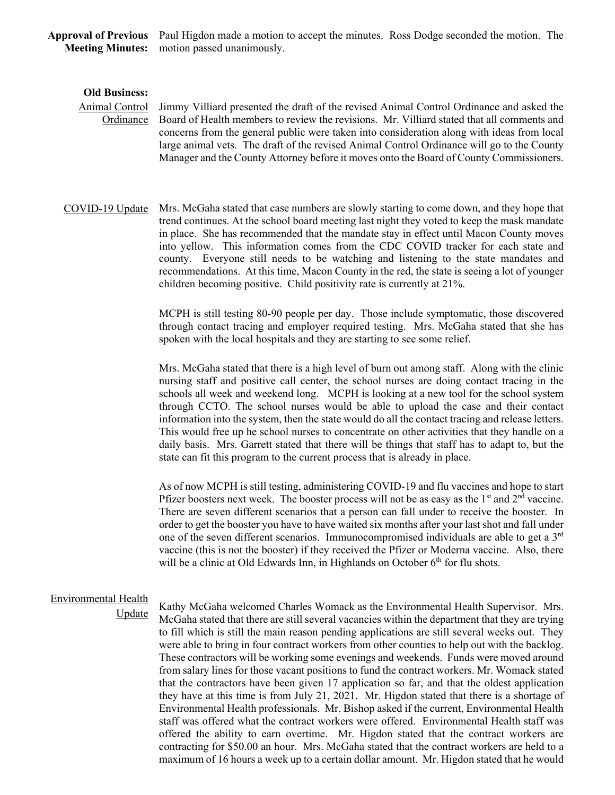**Approval of Previous**  Paul Higdon made a motion to accept the minutes. Ross Dodge seconded the motion. The **Meeting Minutes:**  motion passed unanimously.

#### **Old Business:**

## Animal Control **Ordinance**

Jimmy Villiard presented the draft of the revised Animal Control Ordinance and asked the Board of Health members to review the revisions. Mr. Villiard stated that all comments and concerns from the general public were taken into consideration along with ideas from local large animal vets. The draft of the revised Animal Control Ordinance will go to the County Manager and the County Attorney before it moves onto the Board of County Commissioners.

COVID-19 Update Mrs. McGaha stated that case numbers are slowly starting to come down, and they hope that trend continues. At the school board meeting last night they voted to keep the mask mandate in place. She has recommended that the mandate stay in effect until Macon County moves into yellow. This information comes from the CDC COVID tracker for each state and county. Everyone still needs to be watching and listening to the state mandates and recommendations. At this time, Macon County in the red, the state is seeing a lot of younger children becoming positive. Child positivity rate is currently at 21%.

> MCPH is still testing 80-90 people per day. Those include symptomatic, those discovered through contact tracing and employer required testing. Mrs. McGaha stated that she has spoken with the local hospitals and they are starting to see some relief.

> Mrs. McGaha stated that there is a high level of burn out among staff. Along with the clinic nursing staff and positive call center, the school nurses are doing contact tracing in the schools all week and weekend long. MCPH is looking at a new tool for the school system through CCTO. The school nurses would be able to upload the case and their contact information into the system, then the state would do all the contact tracing and release letters. This would free up he school nurses to concentrate on other activities that they handle on a daily basis. Mrs. Garrett stated that there will be things that staff has to adapt to, but the state can fit this program to the current process that is already in place.

> As of now MCPH is still testing, administering COVID-19 and flu vaccines and hope to start Pfizer boosters next week. The booster process will not be as easy as the  $1<sup>st</sup>$  and  $2<sup>nd</sup>$  vaccine. There are seven different scenarios that a person can fall under to receive the booster. In order to get the booster you have to have waited six months after your last shot and fall under one of the seven different scenarios. Immunocompromised individuals are able to get a 3rd vaccine (this is not the booster) if they received the Pfizer or Moderna vaccine. Also, there will be a clinic at Old Edwards Inn, in Highlands on October  $6<sup>th</sup>$  for flu shots.

## Environmental Health

Update

Kathy McGaha welcomed Charles Womack as the Environmental Health Supervisor. Mrs. McGaha stated that there are still several vacancies within the department that they are trying to fill which is still the main reason pending applications are still several weeks out. They were able to bring in four contract workers from other counties to help out with the backlog. These contractors will be working some evenings and weekends. Funds were moved around from salary lines for those vacant positions to fund the contract workers. Mr. Womack stated that the contractors have been given 17 application so far, and that the oldest application they have at this time is from July 21, 2021. Mr. Higdon stated that there is a shortage of Environmental Health professionals. Mr. Bishop asked if the current, Environmental Health staff was offered what the contract workers were offered. Environmental Health staff was offered the ability to earn overtime. Mr. Higdon stated that the contract workers are contracting for \$50.00 an hour. Mrs. McGaha stated that the contract workers are held to a maximum of 16 hours a week up to a certain dollar amount. Mr. Higdon stated that he would